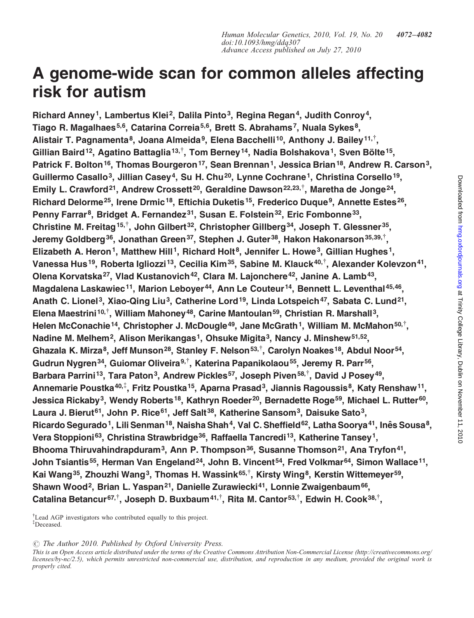# A genome-wide scan for common alleles affecting risk for autism

Richard Anney<sup>1</sup>, Lambertus Klei<sup>2</sup>, Dalila Pinto<sup>3</sup>, Regina Regan<sup>4</sup>, Judith Conroy<sup>4</sup>, Tiago R. Magalhaes<sup>5,6</sup>, Catarina Correia<sup>5,6</sup>, Brett S. Abrahams<sup>7</sup>, Nuala Sykes<sup>8</sup>, Alistair T. Pagnamenta<sup>8</sup>, Joana Almeida<sup>9</sup>, Elena Bacchelli<sup>10</sup>, Anthony J. Bailey<sup>11,†</sup>, Gillian Baird $^{12}$ , Agatino Battaglia $^{13, \dagger}$ , Tom Berney $^{14}$ , Nadia Bolshakova $^{1}$ , Sven Bölte $^{15}$ , Patrick F. Bolton<sup>16</sup>, Thomas Bourgeron<sup>17</sup>, Sean Brennan<sup>1</sup>, Jessica Brian<sup>18</sup>, Andrew R. Carson<sup>3</sup>, Guillermo Casallo<sup>3</sup>, Jillian Casey<sup>4</sup>, Su H. Chu<sup>20</sup>, Lynne Cochrane<sup>1</sup>, Christina Corsello<sup>19</sup>, Emily L. Crawford<sup>21</sup>, Andrew Crossett<sup>20</sup>, Geraldine Dawson<sup>22,23,†</sup>, Maretha de Jonge<sup>24</sup>, Richard Delorme<sup>25</sup>, Irene Drmic<sup>18</sup>, Eftichia Duketis<sup>15</sup>, Frederico Duque<sup>9</sup>, Annette Estes<sup>26</sup>, Penny Farrar<sup>8</sup>, Bridget A. Fernandez<sup>31</sup>, Susan E. Folstein<sup>32</sup>, Eric Fombonne<sup>33</sup>, Christine M. Freitag $^{15, \dagger}$ , John Gilbert $^{32}$ , Christopher Gillberg $^{34}$ , Joseph T. Glessner $^{35}$ , Jeremy Goldberg<sup>36</sup>, Jonathan Green<sup>37</sup>, Stephen J. Guter<sup>38</sup>, Hakon Hakonarson<sup>35,39,†</sup>, Elizabeth A. Heron<sup>1</sup>, Matthew Hill<sup>1</sup>, Richard Holt<sup>8</sup>, Jennifer L. Howe<sup>3</sup>, Gillian Hughes<sup>1</sup>, Vanessa Hus<sup>19</sup>, Roberta Igliozzi<sup>13</sup>, Cecilia Kim<sup>35</sup>, Sabine M. Klauck<sup>40,†</sup>, Alexander Kolevzon<sup>41</sup>, Olena Korvatska<sup>27</sup>, Vlad Kustanovich<sup>42</sup>, Clara M. Lajonchere<sup>42</sup>, Janine A. Lamb<sup>43</sup>, Magdalena Laskawiec<sup>11</sup>, Marion Leboyer<sup>44</sup>, Ann Le Couteur<sup>14</sup>, Bennett L. Leventhal<sup>45,46</sup>, Anath C. Lionel<sup>3</sup>, Xiao-Qing Liu<sup>3</sup>, Catherine Lord<sup>19</sup>, Linda Lotspeich<sup>47</sup>, Sabata C. Lund<sup>21</sup>, Elena Maestrini<sup>10,†</sup>, William Mahoney<sup>48</sup>, Carine Mantoulan<sup>59</sup>, Christian R. Marshall<sup>3</sup>, Helen McConachie<sup>14</sup>, Christopher J. McDougle<sup>49</sup>, Jane McGrath<sup>1</sup>, William M. McMahon<sup>50,†</sup>, Nadine M. Melhem<sup>2</sup>, Alison Merikangas<sup>1</sup>, Ohsuke Migita<sup>3</sup>, Nancy J. Minshew<sup>51,52</sup>, Ghazala K. Mirza<sup>8</sup>, Jeff Munson<sup>28</sup>, Stanley F. Nelson<sup>53,†</sup>, Carolyn Noakes<sup>18</sup>, Abdul Noor<sup>54</sup>, Gudrun Nygren<sup>34</sup>, Guiomar Oliveira<sup>9,†</sup>, Katerina Papanikolaou<sup>55</sup>, Jeremy R. Parr<sup>56</sup>, Barbara Parrini<sup>13</sup>, Tara Paton<sup>3</sup>, Andrew Pickles<sup>57</sup>, Joseph Piven<sup>58,†</sup>, David J Posey<sup>49</sup>, Annemarie Poustka $^{40,\ddag},$  Fritz Poustka $^{15}$ , Aparna Prasad $^3$ , Jiannis Ragoussis $^8$ , Katy Renshaw $^{11}$ , Jessica Rickaby<sup>3</sup>, Wendy Roberts<sup>18</sup>, Kathryn Roeder<sup>20</sup>, Bernadette Roge<sup>59</sup>, Michael L. Rutter<sup>60</sup>, Laura J. Bierut<sup>61</sup>, John P. Rice<sup>61</sup>, Jeff Salt<sup>38</sup>, Katherine Sansom<sup>3</sup>, Daisuke Sato<sup>3</sup>, Ricardo Segurado<sup>1</sup>, Lili Senman<sup>18</sup>, Naisha Shah<sup>4</sup>, Val C. Sheffield<sup>62</sup>, Latha Soorya<sup>41</sup>, Inês Sousa<sup>8</sup>, Vera Stoppioni<sup>63</sup>, Christina Strawbridge<sup>36</sup>, Raffaella Tancredi<sup>13</sup>, Katherine Tansey<sup>1</sup>, Bhooma Thiruvahindrapduram<sup>3</sup>, Ann P. Thompson<sup>36</sup>, Susanne Thomson<sup>21</sup>, Ana Tryfon<sup>41</sup>, John Tsiantis<sup>55</sup>, Herman Van Engeland<sup>24</sup>, John B. Vincent<sup>54</sup>, Fred Volkmar<sup>64</sup>, Simon Wallace<sup>11</sup>, Kai Wang<sup>35</sup>, Zhouzhi Wang<sup>3</sup>, Thomas H. Wassink<sup>65,†</sup>, Kirsty Wing<sup>8</sup>, Kerstin Wittemeyer<sup>59</sup>, Shawn Wood<sup>2</sup>, Brian L. Yaspan<sup>21</sup>, Danielle Zurawiecki<sup>41</sup>, Lonnie Zwaigenbaum<sup>66</sup>, Catalina Betancur<sup>67,†</sup>, Joseph D. Buxbaum<sup>41,†</sup>, Rita M. Cantor<sup>53,†</sup>, Edwin H. Cook<sup>38,†</sup>,

† Lead AGP investigators who contributed equally to this project. ‡ Deceased.

 $\odot$  The Author 2010. Published by Oxford University Press.

This is an Open Access article distributed under the terms of the Creative Commons Attribution Non-Commercial License (http://creativecommons.org/ licenses/by-nc/2.5), which permits unrestricted non-commercial use, distribution, and reproduction in any medium, provided the original work is properly cited.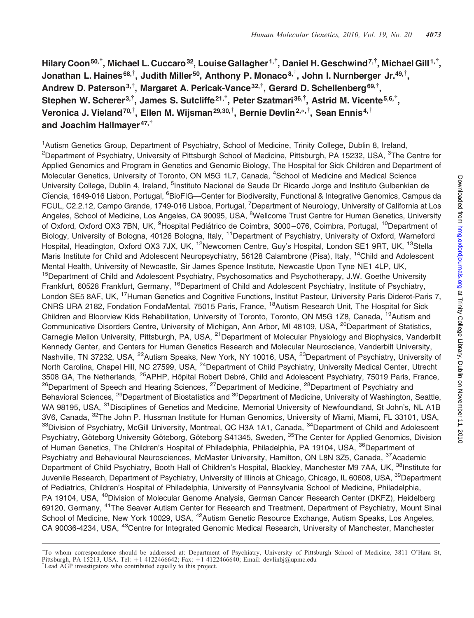Hilary Coon $^{50, \dagger},$  Michael L. Cuccaro $^{32}$ , Louise Gallagher $^{1, \dagger},$  Daniel H. Geschwind $^{7, \dagger},$  Michael Gill $^{1, \dagger},$ Jonathan L. Haines<sup>68,†</sup>, Judith Miller<sup>50</sup>, Anthony P. Monaco<sup>8,†</sup>, John I. Nurnberger Jr.<sup>49,†</sup>, Andrew D. Paterson<sup>3,†</sup>, Margaret A. Pericak-Vance<sup>32,†</sup>, Gerard D. Schellenberg<sup>69,†</sup>, Stephen W. Scherer $^{3, \dagger}$ , James S. Sutcliffe $^{21, \dagger}$ , Peter Szatmari $^{36, \dagger}$ , Astrid M. Vicente $^{5,6, \dagger}$ , Veronica J. Vieland $^{70,\dagger},$  Ellen M. Wijsman $^{29,30,\dagger},$  Bernie Devlin $^{2,*,\dagger},$  Sean Ennis $^{4,\dagger}$ and Joachim Hallmayer $47,^{\dagger}$ 

<sup>1</sup> Autism Genetics Group, Department of Psychiatry, School of Medicine, Trinity College, Dublin 8, Ireland, <sup>2</sup>Department of Psychiatry, University of Pittsburgh School of Medicine, Pittsburgh, PA 15232, USA, <sup>3</sup>The Centre for Applied Genomics and Program in Genetics and Genomic Biology, The Hospital for Sick Children and Department of Molecular Genetics, University of Toronto, ON M5G 1L7, Canada, <sup>4</sup>School of Medicine and Medical Science University College, Dublin 4, Ireland, <sup>5</sup>Instituto Nacional de Saude Dr Ricardo Jorge and Instituto Gulbenkian de Cîencia, 1649-016 Lisbon, Portugal, <sup>6</sup>BioFIG—Center for Biodiversity, Functional & Integrative Genomics, Campus da FCUL, C2.2.12, Campo Grande, 1749-016 Lisboa, Portugal, <sup>7</sup>Department of Neurology, University of California at Los Angeles, School of Medicine, Los Angeles, CA 90095, USA, <sup>8</sup>Wellcome Trust Centre for Human Genetics, University of Oxford, Oxford OX3 7BN, UK, <sup>9</sup>Hospital Pediátrico de Coimbra, 3000–076, Coimbra, Portugal, <sup>10</sup>Department of Biology, University of Bologna, 40126 Bologna, Italy, <sup>11</sup>Department of Psychiatry, University of Oxford, Warneford Hospital, Headington, Oxford OX3 7JX, UK, <sup>12</sup>Newcomen Centre, Guy's Hospital, London SE1 9RT, UK, <sup>13</sup>Stella Maris Institute for Child and Adolescent Neuropsychiatry, 56128 Calambrone (Pisa), Italy, <sup>14</sup>Child and Adolescent Mental Health, University of Newcastle, Sir James Spence Institute, Newcastle Upon Tyne NE1 4LP, UK, <sup>15</sup>Department of Child and Adolescent Psychiatry, Psychosomatics and Psychotherapy, J.W. Goethe University Frankfurt, 60528 Frankfurt, Germany, <sup>16</sup>Department of Child and Adolescent Psychiatry, Institute of Psychiatry, London SE5 8AF, UK, <sup>17</sup>Human Genetics and Cognitive Functions, Institut Pasteur, University Paris Diderot-Paris 7, CNRS URA 2182, Fondation FondaMental, 75015 Paris, France, <sup>18</sup>Autism Research Unit, The Hospital for Sick Children and Bloorview Kids Rehabilitation, University of Toronto, Toronto, ON M5G 1Z8, Canada, <sup>19</sup>Autism and Communicative Disorders Centre, University of Michigan, Ann Arbor, MI 48109, USA, <sup>20</sup>Department of Statistics, Carnegie Mellon University, Pittsburgh, PA, USA, <sup>21</sup>Department of Molecular Physiology and Biophysics, Vanderbilt Kennedy Center, and Centers for Human Genetics Research and Molecular Neuroscience, Vanderbilt University, Nashville, TN 37232, USA, <sup>22</sup>Autism Speaks, New York, NY 10016, USA, <sup>23</sup>Department of Psychiatry, University of North Carolina, Chapel Hill, NC 27599, USA, <sup>24</sup>Department of Child Psychiatry, University Medical Center, Utrecht 3508 GA, The Netherlands, <sup>25</sup>APHP, Hôpital Robert Debré, Child and Adolescent Psychiatry, 75019 Paris, France, <sup>26</sup>Department of Speech and Hearing Sciences, <sup>27</sup>Department of Medicine, <sup>28</sup>Department of Psychiatry and Behavioral Sciences, <sup>29</sup>Department of Biostatistics and <sup>30</sup>Department of Medicine, University of Washington, Seattle, WA 98195, USA, <sup>31</sup>Disciplines of Genetics and Medicine, Memorial University of Newfoundland, St John's, NL A1B 3V6, Canada, 32The John P. Hussman Institute for Human Genomics, University of Miami, Miami, FL 33101, USA, <sup>33</sup>Division of Psychiatry, McGill University, Montreal, QC H3A 1A1, Canada, <sup>34</sup>Department of Child and Adolescent Psychiatry, Göteborg University Göteborg, Göteborg S41345, Sweden, <sup>35</sup>The Center for Applied Genomics, Division of Human Genetics, The Children's Hospital of Philadelphia, Philadelphia, PA 19104, USA, <sup>36</sup>Department of Psychiatry and Behavioural Neurosciences, McMaster University, Hamilton, ON L8N 3Z5, Canada, <sup>37</sup>Academic Department of Child Psychiatry, Booth Hall of Children's Hospital, Blackley, Manchester M9 7AA, UK, <sup>38</sup>Institute for Juvenile Research, Department of Psychiatry, University of Illinois at Chicago, Chicago, IL 60608, USA, <sup>39</sup>Department of Pediatrics, Children's Hospital of Philadelphia, University of Pennsylvania School of Medicine, Philadelphia, PA 19104, USA, <sup>40</sup>Division of Molecular Genome Analysis, German Cancer Research Center (DKFZ), Heidelberg 69120, Germany, 41The Seaver Autism Center for Research and Treatment, Department of Psychiatry, Mount Sinai School of Medicine, New York 10029, USA, <sup>42</sup>Autism Genetic Resource Exchange, Autism Speaks, Los Angeles, CA 90036-4234, USA, <sup>43</sup>Centre for Integrated Genomic Medical Research, University of Manchester, Manchester

<sup>∗</sup> To whom correspondence should be addressed at: Department of Psychiatry, University of Pittsburgh School of Medicine, 3811 O'Hara St, Pittsburgh, PA 15213, USA. Tel: +1 4122466642; Fax: +1 4122466640; Email: devlinbj@upmc.edu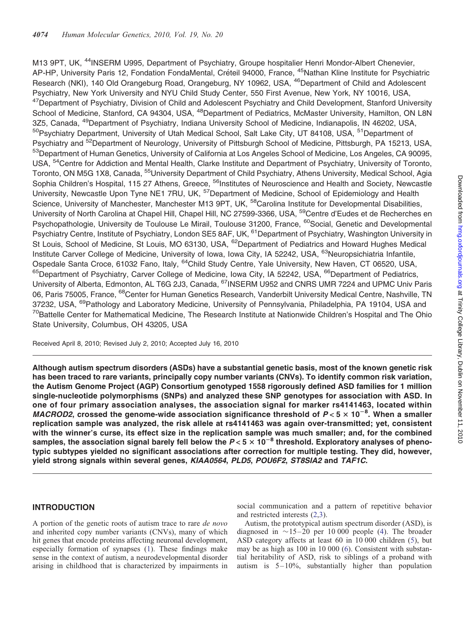M13 9PT, UK, <sup>44</sup>INSERM U995, Department of Psychiatry, Groupe hospitalier Henri Mondor-Albert Chenevier, AP-HP, University Paris 12, Fondation FondaMental, Créteil 94000, France, <sup>45</sup>Nathan Kline Institute for Psychiatric Research (NKI), 140 Old Orangeburg Road, Orangeburg, NY 10962, USA, <sup>46</sup>Department of Child and Adolescent Psychiatry, New York University and NYU Child Study Center, 550 First Avenue, New York, NY 10016, USA, <sup>47</sup>Department of Psychiatry, Division of Child and Adolescent Psychiatry and Child Development, Stanford University School of Medicine, Stanford, CA 94304, USA, <sup>48</sup>Department of Pediatrics, McMaster University, Hamilton, ON L8N 3Z5, Canada, <sup>49</sup>Department of Psychiatry, Indiana University School of Medicine, Indianapolis, IN 46202, USA, <sup>50</sup>Psychiatry Department, University of Utah Medical School, Salt Lake City, UT 84108, USA, <sup>51</sup>Department of Psychiatry and <sup>52</sup>Department of Neurology, University of Pittsburgh School of Medicine, Pittsburgh, PA 15213, USA, <sup>53</sup>Department of Human Genetics, University of California at Los Angeles School of Medicine, Los Angeles, CA 90095, USA, 54Centre for Addiction and Mental Health, Clarke Institute and Department of Psychiatry, University of Toronto, Toronto, ON M5G 1X8, Canada, <sup>55</sup>University Department of Child Psychiatry, Athens University, Medical School, Agia Sophia Children's Hospital, 115 27 Athens, Greece, <sup>56</sup>Institutes of Neuroscience and Health and Society, Newcastle University, Newcastle Upon Tyne NE1 7RU, UK, <sup>57</sup>Department of Medicine, School of Epidemiology and Health Science, University of Manchester, Manchester M13 9PT, UK, <sup>58</sup>Carolina Institute for Developmental Disabilities, University of North Carolina at Chapel Hill, Chapel Hill, NC 27599-3366, USA, <sup>59</sup>Centre d'Eudes et de Recherches en Psychopathologie, University de Toulouse Le Mirail, Toulouse 31200, France, <sup>60</sup>Social, Genetic and Developmental Psychiatry Centre, Institute of Psychiatry, London SE5 8AF, UK, <sup>61</sup>Department of Psychiatry, Washington University in St Louis, School of Medicine, St Louis, MO 63130, USA, <sup>62</sup>Department of Pediatrics and Howard Hughes Medical Institute Carver College of Medicine, University of Iowa, Iowa City, IA 52242, USA, <sup>63</sup>Neuropsichiatria Infantile, Ospedale Santa Croce, 61032 Fano, Italy, <sup>64</sup>Child Study Centre, Yale University, New Haven, CT 06520, USA, <sup>65</sup>Department of Psychiatry, Carver College of Medicine, Iowa City, IA 52242, USA, <sup>66</sup>Department of Pediatrics, University of Alberta, Edmonton, AL T6G 2J3, Canada, <sup>67</sup>INSERM U952 and CNRS UMR 7224 and UPMC Univ Paris 06, Paris 75005, France, <sup>68</sup>Center for Human Genetics Research, Vanderbilt University Medical Centre, Nashville, TN 37232, USA, <sup>69</sup>Pathology and Laboratory Medicine, University of Pennsylvania, Philadelphia, PA 19104, USA and <sup>70</sup>Battelle Center for Mathematical Medicine, The Research Institute at Nationwide Children's Hospital and The Ohio State University, Columbus, OH 43205, USA

Received April 8, 2010; Revised July 2, 2010; Accepted July 16, 2010

Although autism spectrum disorders (ASDs) have a substantial genetic basis, most of the known genetic risk has been traced to rare variants, principally copy number variants (CNVs). To identify common risk variation, the Autism Genome Project (AGP) Consortium genotyped 1558 rigorously defined ASD families for 1 million single-nucleotide polymorphisms (SNPs) and analyzed these SNP genotypes for association with ASD. In one of four primary association analyses, the association signal for marker rs4141463, located within MACROD2, crossed the genome-wide association significance threshold of  $P < 5 \times 10^{-8}$ . When a smaller replication sample was analyzed, the risk allele at rs4141463 was again over-transmitted; yet, consistent with the winner's curse, its effect size in the replication sample was much smaller; and, for the combined samples, the association signal barely fell below the  $P < 5 \times 10^{-8}$  threshold. Exploratory analyses of phenotypic subtypes yielded no significant associations after correction for multiple testing. They did, however, yield strong signals within several genes, KIAA0564, PLD5, POU6F2, ST8SIA2 and TAF1C.

# INTRODUCTION

A portion of the genetic roots of autism trace to rare de novo and inherited copy number variants (CNVs), many of which hit genes that encode proteins affecting neuronal development, especially formation of synapses ([1\)](#page-8-0). These findings make sense in the context of autism, a neurodevelopmental disorder arising in childhood that is characterized by impairments in social communication and a pattern of repetitive behavior and restricted interests ([2,3](#page-8-0)).

Autism, the prototypical autism spectrum disorder (ASD), is diagnosed in  $\sim$ 15–20 per 10 000 people ([4\)](#page-9-0). The broader ASD category affects at least 60 in 10 000 children [\(5](#page-9-0)), but may be as high as 100 in 10 000 ([6\)](#page-9-0). Consistent with substantial heritability of ASD, risk to siblings of a proband with autism is 5–10%, substantially higher than population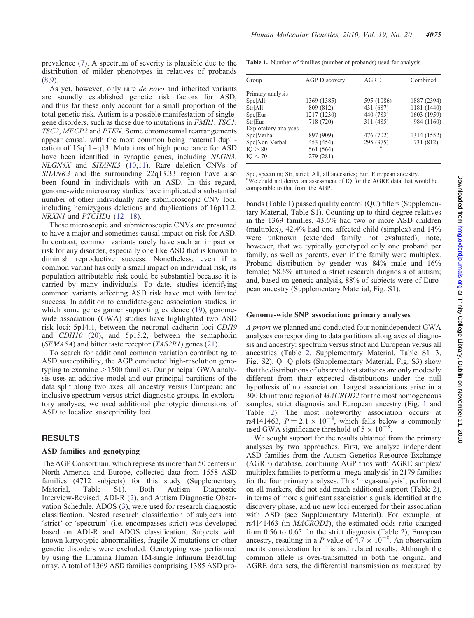<span id="page-3-0"></span>prevalence [\(7](#page-9-0)). A spectrum of severity is plausible due to the distribution of milder phenotypes in relatives of probands [\(8](#page-9-0),[9\)](#page-9-0).

As yet, however, only rare de novo and inherited variants are soundly established genetic risk factors for ASD, and thus far these only account for a small proportion of the total genetic risk. Autism is a possible manifestation of singlegene disorders, such as those due to mutations in FMR1, TSC1, TSC2, MECP2 and PTEN. Some chromosomal rearrangements appear causal, with the most common being maternal duplication of 15q11–q13. Mutations of high penetrance for ASD have been identified in synaptic genes, including NLGN3, NLGN4X and SHANK3 ([10,11\)](#page-9-0). Rare deletion CNVs of SHANK3 and the surrounding 22q13.33 region have also been found in individuals with an ASD. In this regard, genome-wide microarray studies have implicated a substantial number of other individually rare submicroscopic CNV loci, including hemizygous deletions and duplications of 16p11.2, NRXN1 and PTCHD1 [\(12](#page-9-0)-[18](#page-9-0)).

These microscopic and submicroscopic CNVs are presumed to have a major and sometimes causal impact on risk for ASD. In contrast, common variants rarely have such an impact on risk for any disorder, especially one like ASD that is known to diminish reproductive success. Nonetheless, even if a common variant has only a small impact on individual risk, its population attributable risk could be substantial because it is carried by many individuals. To date, studies identifying common variants affecting ASD risk have met with limited success. In addition to candidate-gene association studies, in which some genes garner supporting evidence [\(19](#page-9-0)), genomewide association (GWA) studies have highlighted two ASD risk loci: 5p14.1, between the neuronal cadherin loci CDH9 and CDH10 [\(20](#page-9-0)), and 5p15.2, between the semaphorin (SEMA5A) and bitter taste receptor  $(TAS2RI)$  genes ([21\)](#page-9-0).

To search for additional common variation contributing to ASD susceptibility, the AGP conducted high-resolution genotyping to examine  $>1500$  families. Our principal GWA analysis uses an additive model and our principal partitions of the data split along two axes: all ancestry versus European; and inclusive spectrum versus strict diagnostic groups. In exploratory analyses, we used additional phenotypic dimensions of ASD to localize susceptibility loci.

### RESULTS

## ASD families and genotyping

The AGP Consortium, which represents more than 50 centers in North America and Europe, collected data from 1558 ASD families (4712 subjects) for this study [\(Supplementary](http://hmg.oxfordjournals.org/cgi/content/full/ddq307/DC1) [Material, Table S1](http://hmg.oxfordjournals.org/cgi/content/full/ddq307/DC1)). Both Autism Diagnostic Interview-Revised, ADI-R ([2\)](#page-8-0), and Autism Diagnostic Observation Schedule, ADOS [\(3](#page-8-0)), were used for research diagnostic classification. Nested research classification of subjects into 'strict' or 'spectrum' (i.e. encompasses strict) was developed based on ADI-R and ADOS classification. Subjects with known karyotypic abnormalities, fragile X mutations or other genetic disorders were excluded. Genotyping was performed by using the Illumina Human 1M-single Infinium BeadChip array. A total of 1369 ASD families comprising 1385 ASD pro-

Table 1. Number of families (number of probands) used for analysis

| Group                | <b>AGP</b> Discovery | <b>AGRE</b> | Combined    |
|----------------------|----------------------|-------------|-------------|
| Primary analysis     |                      |             |             |
| Spc All              | 1369 (1385)          | 595 (1086)  | 1887 (2394) |
| Str All              | 809 (812)            | 431 (687)   | 1181 (1440) |
| Spc Eur              | 1217 (1230)          | 440 (783)   | 1603 (1959) |
| Str Eur              | 718 (720)            | 311 (485)   | 984 (1160)  |
| Exploratory analyses |                      |             |             |
| Spc Verbal           | 897 (909)            | 476 (702)   | 1314 (1552) |
| Spc Non-Verbal       | 453 (454)            | 295 (375)   | 731 (812)   |
| IQ > 80              | 561 (564)            |             |             |
| IO < 70              | 279 (281)            |             |             |
|                      |                      |             |             |

Spc, spectrum; Str, strict; All, all ancestries; Eur, European ancestry. <sup>a</sup>We could not derive an assessment of IQ for the AGRE data that would be comparable to that from the AGP.

bands (Table 1) passed quality control (QC) filters ([Supplemen](http://hmg.oxfordjournals.org/cgi/content/full/ddq307/DC1)[tary Material, Table S1\)](http://hmg.oxfordjournals.org/cgi/content/full/ddq307/DC1). Counting up to third-degree relatives in the 1369 families, 43.6% had two or more ASD children (multiplex), 42.4% had one affected child (simplex) and 14% were unknown (extended family not evaluated); note, however, that we typically genotyped only one proband per family, as well as parents, even if the family were multiplex. Proband distribution by gender was 84% male and 16% female; 58.6% attained a strict research diagnosis of autism; and, based on genetic analysis, 88% of subjects were of European ancestry [\(Supplementary Material, Fig. S1\)](http://hmg.oxfordjournals.org/cgi/content/full/ddq307/DC1).

### Genome-wide SNP association: primary analyses

A priori we planned and conducted four nonindependent GWA analyses corresponding to data partitions along axes of diagnosis and ancestry: spectrum versus strict and European versus all ancestries (Table 2, [Supplementary Material, Table S1–3,](http://hmg.oxfordjournals.org/cgi/content/full/ddq307/DC1) [Fig. S2\)](http://hmg.oxfordjournals.org/cgi/content/full/ddq307/DC1). Q–Q plots [\(Supplementary Material, Fig. S3](http://hmg.oxfordjournals.org/cgi/content/full/ddq307/DC1)) show that the distributions of observed test statistics are only modestly different from their expected distributions under the null hypothesis of no association. Largest associations arise in a 300 kb intronic region of MACROD2 for the most homogeneous samples, strict diagnosis and European ancestry (Fig. [1](#page-4-0) and Table 2). The most noteworthy association occurs at rs4141463,  $P = 2.1 \times 10^{-8}$ , which falls below a commonly used GWA significance threshold of  $5 \times 10^{-8}$ .

We sought support for the results obtained from the primary analyses by two approaches. First, we analyze independent ASD families from the Autism Genetics Resource Exchange (AGRE) database, combining AGP trios with AGRE simplex/ multiplex families to perform a 'mega-analysis' in 2179 families for the four primary analyses. This 'mega-analysis', performed on all markers, did not add much additional support (Table 2), in terms of more significant association signals identified at the discovery phase, and no new loci emerged for their association with ASD (see [Supplementary Material](http://hmg.oxfordjournals.org/cgi/content/full/ddq307/DC1)). For example, at rs4141463 (in MACROD2), the estimated odds ratio changed from 0.56 to 0.65 for the strict diagnosis (Table 2), European ancestry, resulting in a *P*-value of  $4.7 \times 10^{-8}$ . An observation merits consideration for this and related results. Although the common allele is over-transmitted in both the original and AGRE data sets, the differential transmission as measured by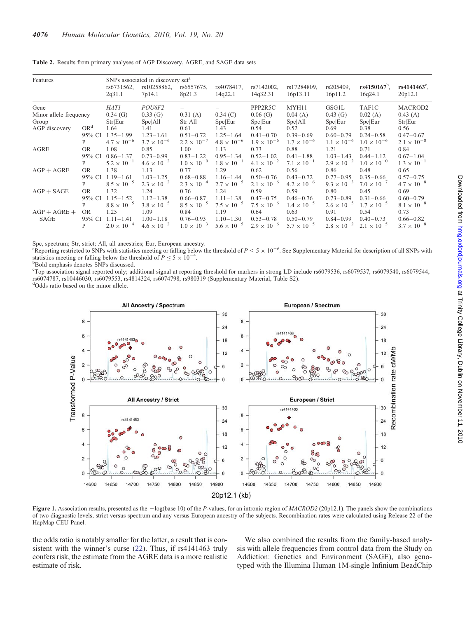| Features               |                 | SNPs associated in discovery set <sup>a</sup><br>$rs4150167^b$ ,<br>rs10258862,<br>rs4078417,<br>rs7142002,<br>rs17284809,<br>rs205409,<br>$rs4141463^{\circ}$ ,<br>rs6731562,<br>rs6557675, |                      |                      |                      |                      |                      |                      |                      |                      |
|------------------------|-----------------|----------------------------------------------------------------------------------------------------------------------------------------------------------------------------------------------|----------------------|----------------------|----------------------|----------------------|----------------------|----------------------|----------------------|----------------------|
|                        |                 | 2q31.1                                                                                                                                                                                       | 7p14.1               | 8p21.3               | 14q22.1              | 14q32.31             | 16p13.11             | 16p11.2              | 16q24.1              | 20p12.1              |
| Gene                   |                 | <b>HAT1</b>                                                                                                                                                                                  | POU6F2               |                      |                      | PPP2R5C              | MYH11                | GSG1L                | TAF1C                | MACROD <sub>2</sub>  |
| Minor allele frequency |                 | $0.34$ (G)                                                                                                                                                                                   | 0.33(G)              | 0.31(A)              | 0.34(C)              | 0.06(G)              | 0.04(A)              | 0.43(G)              | 0.02(A)              | 0.43(A)              |
| Group                  |                 | Str Eur                                                                                                                                                                                      | Spc All              | Str[All]             | Spc Eur              | Spc Eur              | Spc All              | Spc Eur              | Spc Eur              | Str Eur              |
| AGP discovery          | OR <sup>d</sup> | 1.64                                                                                                                                                                                         | 1.41                 | 0.61                 | 1.43                 | 0.54                 | 0.52                 | 0.69                 | 0.38                 | 0.56                 |
|                        | 95% CI          | $1.35 - 1.99$                                                                                                                                                                                | $1.23 - 1.61$        | $0.51 - 0.72$        | $1.25 - 1.64$        | $0.41 - 0.70$        | $0.39 - 0.69$        | $0.60 - 0.79$        | $0.24 - 0.58$        | $0.47 - 0.67$        |
|                        | P               | $4.7 \times 10^{-6}$                                                                                                                                                                         | $3.7 \times 10^{-6}$ | $2.2 \times 10^{-7}$ | $4.8 \times 10^{-6}$ | $1.9 \times 10^{-6}$ | $1.7 \times 10^{-6}$ | $1.1 \times 10^{-6}$ | $1.0 \times 10^{-6}$ | $2.1 \times 10^{-8}$ |
| AGRE                   | OR.             | 1.08                                                                                                                                                                                         | 0.85                 | 1.00                 | 1.13                 | 0.73                 | 0.88                 | 1.21                 | 0.71                 | 0.84                 |
|                        | 95% CI          | $0.86 - 1.37$                                                                                                                                                                                | $0.73 - 0.99$        | $0.83 - 1.22$        | $0.95 - 1.34$        | $0.52 - 1.02$        | $0.41 - 1.88$        | $1.03 - 1.43$        | $0.44 - 1.12$        | $0.67 - 1.04$        |
|                        | P               | $5.2 \times 10^{-1}$                                                                                                                                                                         | $4.6 \times 10^{-2}$ | $1.0 \times 10^{-0}$ | $1.8 \times 10^{-1}$ | $4.1 \times 10^{-2}$ | $7.1 \times 10^{-1}$ | $2.9 \times 10^{-2}$ | $1.0 \times 10^{-0}$ | $1.3 \times 10^{-1}$ |
| $AGP + AGRE$           | OR.             | 1.38                                                                                                                                                                                         | 1.13                 | 0.77                 | 1.29                 | 0.62                 | 0.56                 | 0.86                 | 0.48                 | 0.65                 |
|                        | 95% CI          | $1.19 - 1.61$                                                                                                                                                                                | $1.03 - 1.25$        | $0.68 - 0.88$        | $1.16 - 1.44$        | $0.50 - 0.76$        | $0.43 - 0.72$        | $0.77 - 0.95$        | $0.35 - 0.66$        | $0.57 - 0.75$        |
|                        | P               | $8.5 \times 10^{-5}$                                                                                                                                                                         | $2.3 \times 10^{-2}$ | $2.3 \times 10^{-4}$ | $2.7 \times 10^{-5}$ | $2.1 \times 10^{-6}$ | $4.2 \times 10^{-6}$ | $9.3 \times 10^{-3}$ | $7.0 \times 10^{-7}$ | $4.7 \times 10^{-8}$ |
| $AGP + SAGE$           | OR.             | 1.32                                                                                                                                                                                         | 1.24                 | 0.76                 | 1.24                 | 0.59                 | 0.59                 | 0.80                 | 0.45                 | 0.69                 |
|                        | 95% CI          | $1.15 - 1.52$                                                                                                                                                                                | $1.12 - 1.38$        | $0.66 - 0.87$        | $1.11 - 1.38$        | $0.47 - 0.75$        | $0.46 - 0.76$        | $0.73 - 0.89$        | $0.31 - 0.66$        | $0.60 - 0.79$        |
|                        | P               | $8.8 \times 10^{-5}$                                                                                                                                                                         | $3.8 \times 10^{-5}$ | $8.5 \times 10^{-5}$ | $7.5 \times 10^{-5}$ | $7.5 \times 10^{-6}$ | $1.4 \times 10^{-5}$ | $2.6 \times 10^{-5}$ | $1.7 \times 10^{-5}$ | $8.1 \times 10^{-8}$ |
| $AGP + AGRE +$<br>SAGE | <b>OR</b>       | 1.25                                                                                                                                                                                         | 1.09                 | 0.84                 | 1.19                 | 0.64                 | 0.63                 | 0.91                 | 0.54                 | 0.73                 |
|                        | 95% CI          | $1.11 - 1.41$                                                                                                                                                                                | $1.00 - 1.18$        | $0.76 - 0.93$        | $1.10 - 1.30$        | $0.53 - 0.78$        | $0.50 - 0.79$        | $0.84 - 0.99$        | $0.40 - 0.73$        | $0.66 - 0.82$        |
|                        | P               | $2.0 \times 10^{-4}$                                                                                                                                                                         | $4.6 \times 10^{-2}$ | $1.0 \times 10^{-3}$ | $5.6 \times 10^{-5}$ | $2.9 \times 10^{-6}$ | $5.7 \times 10^{-5}$ | $2.8 \times 10^{-2}$ | $2.1 \times 10^{-5}$ | $3.7 \times 10^{-8}$ |

<span id="page-4-0"></span>Table 2. Results from primary analyses of AGP Discovery, AGRE, and SAGE data sets

Spc, spectrum; Str, strict; All, all ancestries; Eur, European ancestry.

<sup>a</sup>Reporting restricted to SNPs with statistics meeting or falling below the threshold of  $P < 5 \times 10^{-6}$ . See [Supplementary Material](http://hmg.oxfordjournals.org/cgi/content/full/ddq307/DC1) for description of all SNPs with statistics meeting or falling below the threshold of  $P \le 5 \times 10^{-4}$ .

<sup>b</sup>Bold emphasis denotes SNPs discussed.

c Top association signal reported only; additional signal at reporting threshold for markers in strong LD include rs6079536, rs6079537, rs6079540, rs6079544, rs6074787, rs10446030, rs6079553, rs4814324, rs6074798, rs980319 ([Supplementary Material, Table S2](http://hmg.oxfordjournals.org/cgi/content/full/ddq307/DC1)).

dOdds ratio based on the minor allele.



Figure 1. Association results, presented as the  $-\log(\text{base } 10)$  of the P-values, for an intronic region of MACROD2 (20p12.1). The panels show the combinations of two diagnostic levels, strict versus spectrum and any versus European ancestry of the subjects. Recombination rates were calculated using Release 22 of the HapMap CEU Panel.

the odds ratio is notably smaller for the latter, a result that is consistent with the winner's curse ([22](#page-9-0)). Thus, if rs4141463 truly confers risk, the estimate from the AGRE data is a more realistic estimate of risk.

We also combined the results from the family-based analysis with allele frequencies from control data from the Study on Addiction: Genetics and Environment (SAGE), also genotyped with the Illumina Human 1M-single Infinium BeadChip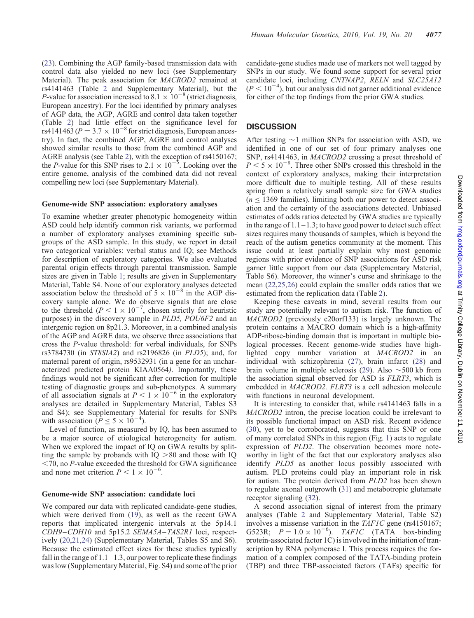[\(23](#page-9-0)). Combining the AGP family-based transmission data with control data also yielded no new loci (see [Supplementary](http://hmg.oxfordjournals.org/cgi/content/full/ddq307/DC1) [Material](http://hmg.oxfordjournals.org/cgi/content/full/ddq307/DC1)). The peak association for MACROD2 remained at rs4141463 (Table [2](#page-3-0) and [Supplementary Material\)](http://hmg.oxfordjournals.org/cgi/content/full/ddq307/DC1), but the P-value for association increased to 8.1  $\times$  10<sup>-8</sup> (strict diagnosis, European ancestry). For the loci identified by primary analyses of AGP data, the AGP, AGRE and control data taken together (Table [2\)](#page-3-0) had little effect on the significance level for rs4141463 ( $P = 3.7 \times 10^{-8}$  for strict diagnosis, European ancestry). In fact, the combined AGP, AGRE and control analyses showed similar results to those from the combined AGP and AGRE analysis (see Table [2\)](#page-3-0), with the exception of rs4150167; the *P*-value for this SNP rises to  $2.1 \times 10^{-5}$ . Looking over the entire genome, analysis of the combined data did not reveal compelling new loci (see [Supplementary Material](http://hmg.oxfordjournals.org/cgi/content/full/ddq307/DC1)).

#### Genome-wide SNP association: exploratory analyses

To examine whether greater phenotypic homogeneity within ASD could help identify common risk variants, we performed a number of exploratory analyses examining specific subgroups of the ASD sample. In this study, we report in detail two categorical variables: verbal status and IQ; see Methods for description of exploratory categories. We also evaluated parental origin effects through parental transmission. Sample sizes are given in Table [1;](#page-3-0) results are given in [Supplementary](http://hmg.oxfordjournals.org/cgi/content/full/ddq307/DC1) [Material, Table S4.](http://hmg.oxfordjournals.org/cgi/content/full/ddq307/DC1) None of our exploratory analyses detected association below the threshold of  $5 \times 10^{-8}$  in the AGP discovery sample alone. We do observe signals that are close to the threshold  $(P < 1 \times 10^{-7})$ , chosen strictly for heuristic purposes) in the discovery sample in PLD5, POU6F2 and an intergenic region on 8p21.3. Moreover, in a combined analysis of the AGP and AGRE data, we observe three associations that cross the P-value threshold: for verbal individuals, for SNPs rs3784730 (in ST8SIA2) and rs2196826 (in PLD5); and, for maternal parent of origin, rs9532931 (in a gene for an uncharacterized predicted protein KIAA0564). Importantly, these findings would not be significant after correction for multiple testing of diagnostic groups and sub-phenotypes. A summary of all association signals at  $P < 1 \times 10^{-6}$  in the exploratory analyses are detailed in [Supplementary Material, Tables S3](http://hmg.oxfordjournals.org/cgi/content/full/ddq307/DC1) [and S4](http://hmg.oxfordjournals.org/cgi/content/full/ddq307/DC1)); see [Supplementary Material](http://hmg.oxfordjournals.org/cgi/content/full/ddq307/DC1) for results for SNPs with association  $(P \le 5 \times 10^{-4})$ .

Level of function, as measured by IQ, has been assumed to be a major source of etiological heterogeneity for autism. When we explored the impact of IQ on GWA results by splitting the sample by probands with  $IQ > 80$  and those with IQ  $<$  70, no P-value exceeded the threshold for GWA significance and none met criterion  $P < 1 \times 10^{-6}$ .

#### Genome-wide SNP association: candidate loci

We compared our data with replicated candidate-gene studies, which were derived from ([19\)](#page-9-0), as well as the recent GWA reports that implicated intergenic intervals at the 5p14.1 CDH9–CDH10 and 5p15.2 SEMA5A–TAS2R1 loci, respectively ([20](#page-9-0),[21](#page-9-0),[24\)](#page-9-0) [\(Supplementary Material, Tables S5 and S6](http://hmg.oxfordjournals.org/cgi/content/full/ddq307/DC1)). Because the estimated effect sizes for these studies typically fall in the range of  $1.1-1.3$ , our power to replicate these findings was low ([Supplementary Material, Fig. S4](http://hmg.oxfordjournals.org/cgi/content/full/ddq307/DC1)) and some of the prior candidate-gene studies made use of markers not well tagged by SNPs in our study. We found some support for several prior candidate loci, including CNTNAP2, RELN and SLC25A12  $(P < 10^{-4})$ , but our analysis did not garner additional evidence for either of the top findings from the prior GWA studies.

# **DISCUSSION**

After testing  $\sim$ 1 million SNPs for association with ASD, we identified in one of our set of four primary analyses one SNP, rs4141463, in *MACROD2* crossing a preset threshold of  $P < 5 \times 10^{-8}$ . Three other SNPs crossed this threshold in the context of exploratory analyses, making their interpretation more difficult due to multiple testing. All of these results spring from a relatively small sample size for GWA studies  $(n < 1369$  families), limiting both our power to detect association and the certainty of the associations detected. Unbiased estimates of odds ratios detected by GWA studies are typically in the range of  $1.1-1.3$ ; to have good power to detect such effect sizes requires many thousands of samples, which is beyond the reach of the autism genetics community at the moment. This issue could at least partially explain why most genomic regions with prior evidence of SNP associations for ASD risk garner little support from our data ([Supplementary Material,](http://hmg.oxfordjournals.org/cgi/content/full/ddq307/DC1) [Table S6\)](http://hmg.oxfordjournals.org/cgi/content/full/ddq307/DC1). Moreover, the winner's curse and shrinkage to the mean [\(22](#page-9-0),[25,26](#page-9-0)) could explain the smaller odds ratios that we estimated from the replication data (Table [2\)](#page-3-0).

Keeping these caveats in mind, several results from our study are potentially relevant to autism risk. The function of MACROD2 (previously c20orf133) is largely unknown. The protein contains a MACRO domain which is a high-affinity ADP-ribose-binding domain that is important in multiple biological processes. Recent genome-wide studies have highlighted copy number variation at MACROD2 in an individual with schizophrenia [\(27](#page-9-0)), brain infarct [\(28](#page-9-0)) and brain volume in multiple sclerosis ([29\)](#page-9-0). Also  $\sim$  500 kb from the association signal observed for ASD is FLRT3, which is embedded in MACROD2. FLRT3 is a cell adhesion molecule with functions in neuronal development.

It is interesting to consider that, while rs4141463 falls in a MACROD2 intron, the precise location could be irrelevant to its possible functional impact on ASD risk. Recent evidence [\(30](#page-9-0)), yet to be corroborated, suggests that this SNP or one of many correlated SNPs in this region (Fig. [1](#page-4-0)) acts to regulate expression of PLD2. The observation becomes more noteworthy in light of the fact that our exploratory analyses also identify PLD5 as another locus possibly associated with autism. PLD proteins could play an important role in risk for autism. The protein derived from PLD2 has been shown to regulate axonal outgrowth ([31\)](#page-9-0) and metabotropic glutamate receptor signaling ([32\)](#page-9-0).

A second association signal of interest from the primary analyses (Table [2](#page-3-0) and [Supplementary Material, Table S2\)](http://hmg.oxfordjournals.org/cgi/content/full/ddq307/DC1) involves a missense variation in the TAF1C gene (rs4150167; G523R;  $P = 1.0 \times 10^{-6}$ ). TAF1C (TATA box-binding protein-associated factor 1C) is involved in the initiation of transcription by RNA polymerase I. This process requires the formation of a complex composed of the TATA-binding protein (TBP) and three TBP-associated factors (TAFs) specific for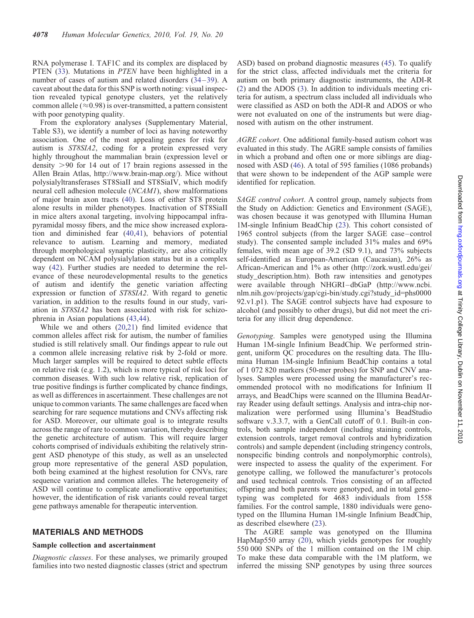RNA polymerase I. TAF1C and its complex are displaced by PTEN ([33\)](#page-9-0). Mutations in PTEN have been highlighted in a number of cases of autism and related disorders [\(34](#page-9-0)–[39](#page-9-0)). A caveat about the data for this SNP is worth noting: visual inspection revealed typical genotype clusters, yet the relatively common allele ( $\approx$ 0.98) is over-transmitted, a pattern consistent with poor genotyping quality.

From the exploratory analyses [\(Supplementary Material,](http://hmg.oxfordjournals.org/cgi/content/full/ddq307/DC1) [Table S3](http://hmg.oxfordjournals.org/cgi/content/full/ddq307/DC1)), we identify a number of loci as having noteworthy association. One of the most appealing genes for risk for autism is ST8SIA2, coding for a protein expressed very highly throughout the mammalian brain (expression level or density  $>90$  for 14 out of 17 brain regions assessed in the Allen Brain Atlas, http://www.brain-map.org/). Mice without polysialyltransferases ST8SiaII and ST8SiaIV, which modify neural cell adhesion molecule (NCAM1), show malformations of major brain axon tracts ([40\)](#page-9-0). Loss of either ST8 protein alone results in milder phenotypes. Inactivation of ST8SiaII in mice alters axonal targeting, involving hippocampal infrapyramidal mossy fibers, and the mice show increased exploration and diminished fear ([40,41](#page-9-0)), behaviors of potential relevance to autism. Learning and memory, mediated through morphological synaptic plasticity, are also critically dependent on NCAM polysialylation status but in a complex way ([42\)](#page-9-0). Further studies are needed to determine the relevance of these neurodevelopmental results to the genetics of autism and identify the genetic variation affecting expression or function of ST8SIA2. With regard to genetic variation, in addition to the results found in our study, variation in ST8SIA2 has been associated with risk for schizophrenia in Asian populations ([43,44](#page-10-0)).

While we and others [\(20,21](#page-9-0)) find limited evidence that common alleles affect risk for autism, the number of families studied is still relatively small. Our findings appear to rule out a common allele increasing relative risk by 2-fold or more. Much larger samples will be required to detect subtle effects on relative risk (e.g. 1.2), which is more typical of risk loci for common diseases. With such low relative risk, replication of true positive findings is further complicated by chance findings, as well as differences in ascertainment. These challenges are not unique to common variants. The same challenges are faced when searching for rare sequence mutations and CNVs affecting risk for ASD. Moreover, our ultimate goal is to integrate results across the range of rare to common variation, thereby describing the genetic architecture of autism. This will require larger cohorts comprised of individuals exhibiting the relatively stringent ASD phenotype of this study, as well as an unselected group more representative of the general ASD population, both being examined at the highest resolution for CNVs, rare sequence variation and common alleles. The heterogeneity of ASD will continue to complicate ameliorative opportunities; however, the identification of risk variants could reveal target gene pathways amenable for therapeutic intervention.

## MATERIALS AND METHODS

#### Sample collection and ascertainment

Diagnostic classes. For these analyses, we primarily grouped families into two nested diagnostic classes (strict and spectrum ASD) based on proband diagnostic measures [\(45](#page-10-0)). To qualify for the strict class, affected individuals met the criteria for autism on both primary diagnostic instruments, the ADI-R [\(2](#page-8-0)) and the ADOS ([3\)](#page-8-0). In addition to individuals meeting criteria for autism, a spectrum class included all individuals who were classified as ASD on both the ADI-R and ADOS or who were not evaluated on one of the instruments but were diagnosed with autism on the other instrument.

AGRE cohort. One additional family-based autism cohort was evaluated in this study. The AGRE sample consists of families in which a proband and often one or more siblings are diagnosed with ASD ([46\)](#page-10-0). A total of 595 families (1086 probands) that were shown to be independent of the AGP sample were identified for replication.

SAGE control cohort. A control group, namely subjects from the Study on Addiction: Genetics and Environment (SAGE), was chosen because it was genotyped with Illumina Human 1M-single Infinium BeadChip [\(23](#page-9-0)). This cohort consisted of 1965 control subjects (from the larger SAGE case–control study). The consented sample included 31% males and 69% females, with mean age of 39.2 (SD 9.1), and 73% subjects self-identified as European-American (Caucasian), 26% as African-American and 1% as other (http://zork.wustl.edu/gei/ study\_description.htm). Both raw intensities and genotypes were available through NHGRI–dbGaP (http://www.ncbi. nlm.nih.gov/projects/gap/cgi-bin/study.cgi?study\_id=phs0000 92.v1.p1). The SAGE control subjects have had exposure to alcohol (and possibly to other drugs), but did not meet the criteria for any illicit drug dependence.

Genotyping. Samples were genotyped using the Illumina Human 1M-single Infinium BeadChip. We performed stringent, uniform QC procedures on the resulting data. The Illumina Human 1M-single Infinium BeadChip contains a total of 1 072 820 markers (50-mer probes) for SNP and CNV analyses. Samples were processed using the manufacturer's recommended protocol with no modifications for Infinium II arrays, and BeadChips were scanned on the Illumina BeadArray Reader using default settings. Analysis and intra-chip normalization were performed using Illumina's BeadStudio software v.3.3.7, with a GenCall cutoff of 0.1. Built-in controls, both sample independent (including staining controls, extension controls, target removal controls and hybridization controls) and sample dependent (including stringency controls, nonspecific binding controls and nonpolymorphic controls), were inspected to assess the quality of the experiment. For genotype calling, we followed the manufacturer's protocols and used technical controls. Trios consisting of an affected offspring and both parents were genotyped, and in total genotyping was completed for 4683 individuals from 1558 families. For the control sample, 1880 individuals were genotyped on the Illumina Human 1M-single Infinium BeadChip, as described elsewhere [\(23](#page-9-0)).

The AGRE sample was genotyped on the Illumina HapMap550 array ([20\)](#page-9-0), which yields genotypes for roughly 550 000 SNPs of the 1 million contained on the 1M chip. To make these data comparable with the 1M platform, we inferred the missing SNP genotypes by using three sources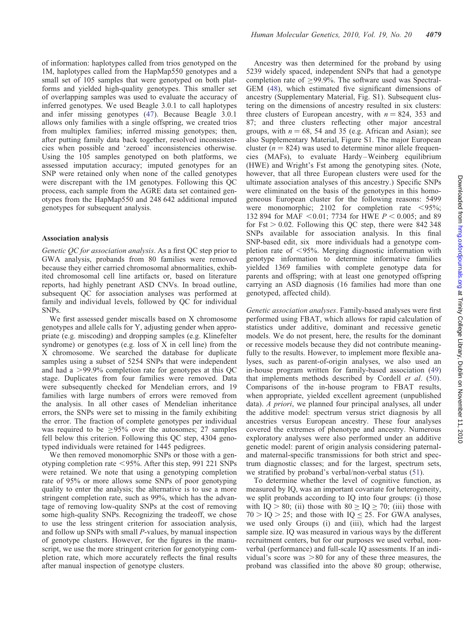of information: haplotypes called from trios genotyped on the 1M, haplotypes called from the HapMap550 genotypes and a small set of 105 samples that were genotyped on both platforms and yielded high-quality genotypes. This smaller set of overlapping samples was used to evaluate the accuracy of inferred genotypes. We used Beagle 3.0.1 to call haplotypes and infer missing genotypes ([47\)](#page-10-0). Because Beagle 3.0.1 allows only families with a single offspring, we created trios from multiplex families; inferred missing genotypes; then, after putting family data back together, resolved inconsistencies when possible and 'zeroed' inconsistencies otherwise. Using the 105 samples genotyped on both platforms, we assessed imputation accuracy; imputed genotypes for an SNP were retained only when none of the called genotypes were discrepant with the 1M genotypes. Following this QC process, each sample from the AGRE data set contained genotypes from the HapMap550 and 248 642 additional imputed genotypes for subsequent analysis.

#### Association analysis

Genetic QC for association analysis. As a first QC step prior to GWA analysis, probands from 80 families were removed because they either carried chromosomal abnormalities, exhibited chromosomal cell line artifacts or, based on literature reports, had highly penetrant ASD CNVs. In broad outline, subsequent QC for association analyses was performed at family and individual levels, followed by QC for individual SNPs.

We first assessed gender miscalls based on X chromosome genotypes and allele calls for Y, adjusting gender when appropriate (e.g. miscoding) and dropping samples (e.g. Klinefelter syndrome) or genotypes (e.g. loss of X in cell line) from the X chromosome. We searched the database for duplicate samples using a subset of 5254 SNPs that were independent and had a  $>99.9\%$  completion rate for genotypes at this QC stage. Duplicates from four families were removed. Data were subsequently checked for Mendelian errors, and 19 families with large numbers of errors were removed from the analysis. In all other cases of Mendelian inheritance errors, the SNPs were set to missing in the family exhibiting the error. The fraction of complete genotypes per individual was required to be  $\geq$ 95% over the autosomes; 27 samples fell below this criterion. Following this QC step, 4304 genotyped individuals were retained for 1445 pedigrees.

We then removed monomorphic SNPs or those with a genotyping completion rate  $\leq$ 95%. After this step, 991 221 SNPs were retained. We note that using a genotyping completion rate of 95% or more allows some SNPs of poor genotyping quality to enter the analysis; the alternative is to use a more stringent completion rate, such as 99%, which has the advantage of removing low-quality SNPs at the cost of removing some high-quality SNPs. Recognizing the tradeoff, we chose to use the less stringent criterion for association analysis, and follow up SNPs with small P-values, by manual inspection of genotype clusters. However, for the figures in the manuscript, we use the more stringent criterion for genotyping completion rate, which more accurately reflects the final results after manual inspection of genotype clusters.

Ancestry was then determined for the proband by using 5239 widely spaced, independent SNPs that had a genotype completion rate of ≥99.9%. The software used was Spectral-GEM ([48\)](#page-10-0), which estimated five significant dimensions of ancestry [\(Supplementary Material, Fig. S1\)](http://hmg.oxfordjournals.org/cgi/content/full/ddq307/DC1). Subsequent clustering on the dimensions of ancestry resulted in six clusters: three clusters of European ancestry, with  $n = 824$ , 353 and 87; and three clusters reflecting other major ancestral groups, with  $n = 68$ , 54 and 35 (e.g. African and Asian); see also [Supplementary Material, Figure S1.](http://hmg.oxfordjournals.org/cgi/content/full/ddq307/DC1) The major European cluster ( $n = 824$ ) was used to determine minor allele frequencies (MAFs), to evaluate Hardy–Weinberg equilibrium (HWE) and Wright's Fst among the genotyping sites. (Note, however, that all three European clusters were used for the ultimate association analyses of this ancestry.) Specific SNPs were eliminated on the basis of the genotypes in this homogeneous European cluster for the following reasons: 5499 were monomorphic; 2102 for completion rate  $\langle 95\%;$ 132 894 for MAF < 0.01; 7734 for HWE  $P$  < 0.005; and 89 for Fst  $> 0.02$ . Following this QC step, there were 842 348 SNPs available for association analysis. In this final SNP-based edit, six more individuals had a genotype completion rate of  $\langle 95\%$ . Merging diagnostic information with genotype information to determine informative families yielded 1369 families with complete genotype data for parents and offspring; with at least one genotyped offspring carrying an ASD diagnosis (16 families had more than one genotyped, affected child).

Genetic association analyses. Family-based analyses were first performed using FBAT, which allows for rapid calculation of statistics under additive, dominant and recessive genetic models. We do not present, here, the results for the dominant or recessive models because they did not contribute meaningfully to the results. However, to implement more flexible analyses, such as parent-of-origin analyses, we also used an in-house program written for family-based association ([49\)](#page-10-0) that implements methods described by Cordell et al. [\(50](#page-10-0)). Comparisons of the in-house program to FBAT results, when appropriate, yielded excellent agreement (unpublished data). A priori, we planned four principal analyses, all under the additive model: spectrum versus strict diagnosis by all ancestries versus European ancestry. These four analyses covered the extremes of phenotype and ancestry. Numerous exploratory analyses were also performed under an additive genetic model: parent of origin analysis considering paternaland maternal-specific transmissions for both strict and spectrum diagnostic classes; and for the largest, spectrum sets, we stratified by proband's verbal/non-verbal status [\(51](#page-10-0)).

To determine whether the level of cognitive function, as measured by IQ, was an important covariate for heterogeneity, we split probands according to IQ into four groups: (i) those with IQ  $> 80$ ; (ii) those with  $80 >$  IQ  $> 70$ ; (iii) those with  $70 >$  IQ  $>$  25; and those with IQ  $\leq$  25. For GWA analyses, we used only Groups (i) and (iii), which had the largest sample size. IQ was measured in various ways by the different recruitment centers, but for our purposes we used verbal, nonverbal (performance) and full-scale IQ assessments. If an individual's score was  $>80$  for any of these three measures, the proband was classified into the above 80 group; otherwise,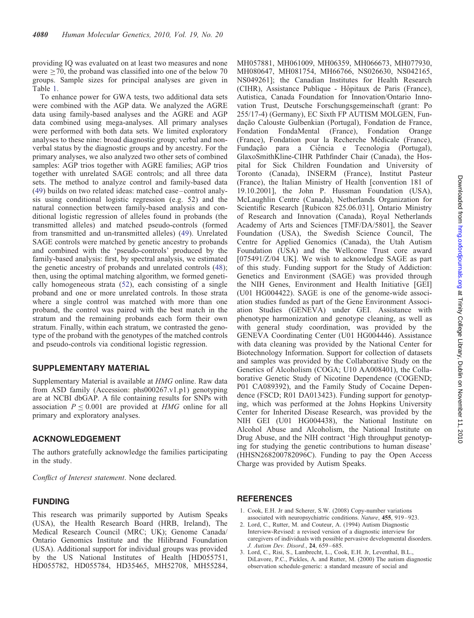<span id="page-8-0"></span>providing IQ was evaluated on at least two measures and none were  $\geq$  70, the proband was classified into one of the below 70 groups. Sample sizes for principal analyses are given in Table [1](#page-3-0).

To enhance power for GWA tests, two additional data sets were combined with the AGP data. We analyzed the AGRE data using family-based analyses and the AGRE and AGP data combined using mega-analyses. All primary analyses were performed with both data sets. We limited exploratory analyses to these nine: broad diagnostic group; verbal and nonverbal status by the diagnostic groups and by ancestry. For the primary analyses, we also analyzed two other sets of combined samples: AGP trios together with AGRE families; AGP trios together with unrelated SAGE controls; and all three data sets. The method to analyze control and family-based data [\(49](#page-10-0)) builds on two related ideas: matched case–control analysis using conditional logistic regression (e.g. 52) and the natural connection between family-based analysis and conditional logistic regression of alleles found in probands (the transmitted alleles) and matched pseudo-controls (formed from transmitted and un-transmitted alleles) [\(49](#page-10-0)). Unrelated SAGE controls were matched by genetic ancestry to probands and combined with the 'pseudo-controls' produced by the family-based analysis: first, by spectral analysis, we estimated the genetic ancestry of probands and unrelated controls ([48\)](#page-10-0); then, using the optimal matching algorithm, we formed genetically homogeneous strata [\(52](#page-10-0)), each consisting of a single proband and one or more unrelated controls. In those strata where a single control was matched with more than one proband, the control was paired with the best match in the stratum and the remaining probands each form their own stratum. Finally, within each stratum, we contrasted the genotype of the proband with the genotypes of the matched controls and pseudo-controls via conditional logistic regression.

## SUPPLEMENTARY MATERIAL

[Supplementary Material](http://hmg.oxfordjournals.org/cgi/content/full/ddq307/DC1) is available at HMG online. Raw data from ASD family (Accession: phs000267.v1.p1) genotyping are at NCBI dbGAP. A file containing results for SNPs with association  $P \leq 0.001$  are provided at HMG online for all primary and exploratory analyses.

### ACKNOWLEDGEMENT

The authors gratefully acknowledge the families participating in the study.

Conflict of Interest statement. None declared.

## FUNDING

This research was primarily supported by Autism Speaks (USA), the Health Research Board (HRB, Ireland), The Medical Research Council (MRC; UK); Genome Canada/ Ontario Genomics Institute and the Hilibrand Foundation (USA). Additional support for individual groups was provided by the US National Institutes of Health [HD055751, HD055782, HD055784, HD35465, MH52708, MH55284,

MH057881, MH061009, MH06359, MH066673, MH077930, MH080647, MH081754, MH66766, NS026630, NS042165, NS049261]; the Canadian Institutes for Health Research (CIHR), Assistance Publique - Hôpitaux de Paris (France), Autistica, Canada Foundation for Innovation/Ontario Innovation Trust, Deutsche Forschungsgemeinschaft (grant: Po 255/17-4) (Germany), EC Sixth FP AUTISM MOLGEN, Fundação Calouste Gulbenkian (Portugal), Fondation de France, Fondation FondaMental (France), Fondation Orange (France), Fondation pour la Recherche Médicale (France), Fundação para a Ciência e Tecnologia (Portugal), GlaxoSmithKline-CIHR Pathfinder Chair (Canada), the Hospital for Sick Children Foundation and University of Toronto (Canada), INSERM (France), Institut Pasteur (France), the Italian Ministry of Health [convention 181 of 19.10.2001], the John P. Hussman Foundation (USA), McLaughlin Centre (Canada), Netherlands Organization for Scientific Research [Rubicon 825.06.031], Ontario Ministry of Research and Innovation (Canada), Royal Netherlands Academy of Arts and Sciences [TMF/DA/5801], the Seaver Foundation (USA), the Swedish Science Council, The Centre for Applied Genomics (Canada), the Utah Autism Foundation (USA) and the Wellcome Trust core award [075491/Z/04 UK]. We wish to acknowledge SAGE as part of this study. Funding support for the Study of Addiction: Genetics and Environment (SAGE) was provided through the NIH Genes, Environment and Health Initiative [GEI] (U01 HG004422). SAGE is one of the genome-wide association studies funded as part of the Gene Environment Association Studies (GENEVA) under GEI. Assistance with phenotype harmonization and genotype cleaning, as well as with general study coordination, was provided by the GENEVA Coordinating Center (U01 HG004446). Assistance with data cleaning was provided by the National Center for Biotechnology Information. Support for collection of datasets and samples was provided by the Collaborative Study on the Genetics of Alcoholism (COGA; U10 AA008401), the Collaborative Genetic Study of Nicotine Dependence (COGEND; P01 CA089392), and the Family Study of Cocaine Dependence (FSCD; R01 DA013423). Funding support for genotyping, which was performed at the Johns Hopkins University Center for Inherited Disease Research, was provided by the NIH GEI (U01 HG004438), the National Institute on Alcohol Abuse and Alcoholism, the National Institute on Drug Abuse, and the NIH contract 'High throughput genotyping for studying the genetic contributions to human disease' (HHSN268200782096C). Funding to pay the Open Access Charge was provided by Autism Speaks.

# **REFERENCES**

- 1. Cook, E.H. Jr and Scherer, S.W. (2008) Copy-number variations associated with neuropsychiatric conditions. Nature, 455, 919–923.
- 2. Lord, C., Rutter, M. and Couteur, A. (1994) Autism Diagnostic Interview-Revised: a revised version of a diagnostic interview for caregivers of individuals with possible pervasive developmental disorders. J. Autism Dev. Disord., 24, 659–685.
- 3. Lord, C., Risi, S., Lambrecht, L., Cook, E.H. Jr, Leventhal, B.L., DiLavore, P.C., Pickles, A. and Rutter, M. (2000) The autism diagnostic observation schedule-generic: a standard measure of social and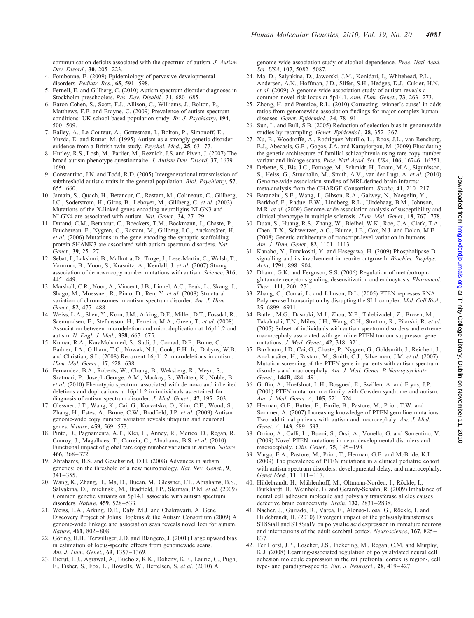<span id="page-9-0"></span>communication deficits associated with the spectrum of autism. J. Autism Dev. Disord., 30, 205–223.

- 4. Fombonne, E. (2009) Epidemiology of pervasive developmental disorders. Pediatr. Res., 65, 591–598.
- 5. Fernell, E. and Gillberg, C. (2010) Autism spectrum disorder diagnoses in Stockholm preschoolers. Res. Dev. Disabil., 31, 680–685.
- 6. Baron-Cohen, S., Scott, F.J., Allison, C., Williams, J., Bolton, P., Matthews, F.E. and Brayne, C. (2009) Prevalence of autism-spectrum conditions: UK school-based population study. Br. J. Psychiatry, 194, 500–509.
- 7. Bailey, A., Le Couteur, A., Gottesman, I., Bolton, P., Simonoff, E., Yuzda, E. and Rutter, M. (1995) Autism as a strongly genetic disorder: evidence from a British twin study. Psychol. Med., 25, 63-77.
- 8. Hurley, R.S., Losh, M., Parlier, M., Reznick, J.S. and Piven, J. (2007) The broad autism phenotype questionnaire. J. Autism Dev. Disord, 37, 1679– 1690.
- 9. Constantino, J.N. and Todd, R.D. (2005) Intergenerational transmission of subthreshold autistic traits in the general population. Biol. Psychiatry, 57, 655–660.
- 10. Jamain, S., Quach, H., Betancur, C., Rastam, M., Colineaux, C., Gillberg, I.C., Soderstrom, H., Giros, B., Lebover, M., Gillberg, C. et al. (2003) Mutations of the X-linked genes encoding neuroligins NLGN3 and NLGN4 are associated with autism. Nat. Genet., 34, 27–29.
- 11. Durand, C.M., Betancur, C., Boeckers, T.M., Bockmann, J., Chaste, P., Fauchereau, F., Nygren, G., Rastam, M., Gillberg, I.C., Anckarsäter, H. et al. (2006) Mutations in the gene encoding the synaptic scaffolding protein SHANK3 are associated with autism spectrum disorders. Nat. Genet., 39, 25–27.
- 12. Sebat, J., Lakshmi, B., Malhotra, D., Troge, J., Lese-Martin, C., Walsh, T., Yamrom, B., Yoon, S., Krasnitz, A., Kendall, J. et al. (2007) Strong association of de novo copy number mutations with autism. Science, 316, 445–449.
- 13. Marshall, C.R., Noor, A., Vincent, J.B., Lionel, A.C., Feuk, L., Skaug, J., Shago, M., Moessner, R., Pinto, D., Ren, Y. et al. (2008) Structural variation of chromosomes in autism spectrum disorder. Am. J. Hum. Genet., 82, 477–488.
- 14. Weiss, L.A., Shen, Y., Korn, J.M., Arking, D.E., Miller, D.T., Fossdal, R., Saemundsen, E., Stefansson, H., Ferreira, M.A., Green, T. et al. (2008) Association between microdeletion and microduplication at 16p11.2 and autism. N. Engl. J. Med., 358, 667–675.
- 15. Kumar, R.A., KaraMohamed, S., Sudi, J., Conrad, D.F., Brune, C., Badner, J.A., Gilliam, T.C., Nowak, N.J., Cook, E.H. Jr, Dobyns, W.B. and Christian, S.L. (2008) Recurrent 16p11.2 microdeletions in autism. Hum. Mol. Genet., 17, 628–638.
- 16. Fernandez, B.A., Roberts, W., Chung, B., Weksberg, R., Meyn, S., Szatmari, P., Joseph-George, A.M., Mackay, S., Whitten, K., Noble, B. et al. (2010) Phenotypic spectrum associated with de novo and inherited deletions and duplications at 16p11.2 in individuals ascertained for diagnosis of autism spectrum disorder. J. Med. Genet., 47, 195–203.
- 17. Glessner, J.T., Wang, K., Cai, G., Korvatska, O., Kim, C.E., Wood, S., Zhang, H., Estes, A., Brune, C.W., Bradfield, J.P. et al. (2009) Autism genome-wide copy number variation reveals ubiquitin and neuronal genes. Nature, 459, 569–573.
- 18. Pinto, D., Pagnamenta, A.T., Klei, L., Anney, R., Merico, D., Regan, R., Conroy, J., Magalhaes, T., Correia, C., Abrahams, B.S. et al. (2010) Functional impact of global rare copy number variation in autism. Nature, 466, 368–372.
- 19. Abrahams, B.S. and Geschwind, D.H. (2008) Advances in autism genetics: on the threshold of a new neurobiology. Nat. Rev. Genet., 9, 341–355.
- 20. Wang, K., Zhang, H., Ma, D., Bucan, M., Glessner, J.T., Abrahams, B.S., Salyakina, D., Imielinski, M., Bradfield, J.P., Sleiman, P.M. et al. (2009) Common genetic variants on 5p14.1 associate with autism spectrum disorders. Nature, 459, 528–533.
- 21. Weiss, L.A., Arking, D.E., Daly, M.J. and Chakravarti, A. Gene Discovery Project of Johns Hopkins & the Autism Consortium (2009) A genome-wide linkage and association scan reveals novel loci for autism. Nature, 461, 802–808.
- 22. Göring, H.H., Terwilliger, J.D. and Blangero, J. (2001) Large upward bias in estimation of locus-specific effects from genomewide scans. Am. J. Hum. Genet., 69, 1357–1369.
- 23. Bierut, L.J., Agrawal, A., Bucholz, K.K., Doheny, K.F., Laurie, C., Pugh, E., Fisher, S., Fox, L., Howells, W., Bertelsen, S. et al. (2010) A

genome-wide association study of alcohol dependence. Proc. Natl Acad. Sci. USA, 107, 5082-5087.

- 24. Ma, D., Salyakina, D., Jaworski, J.M., Konidari, I., Whitehead, P.L., Andersen, A.N., Hoffman, J.D., Slifer, S.H., Hedges, D.J., Cukier, H.N. et al. (2009) A genome-wide association study of autism reveals a common novel risk locus at 5p14.1. Ann. Hum. Genet., 73, 263–273.
- 25. Zhong, H. and Prentice, R.L. (2010) Correcting 'winner's curse' in odds ratios from genomewide association findings for major complex human diseases. Genet. Epidemiol., 34, 78-91.
- 26. Sun, L. and Bull, S.B. (2005) Reduction of selection bias in genomewide studies by resampling. Genet. Epidemiol., 28, 352–367.
- 27. Xu, B., Woodroffe, A., Rodriguez-Murillo, L., Roos, J.L., van Rensburg, E.J., Abecasis, G.R., Gogos, J.A. and Karayiorgou, M. (2009) Elucidating the genetic architecture of familial schizophrenia using rare copy number variant and linkage scans. Proc. Natl Acad. Sci. USA, 106, 16746-16751.
- 28. Debette, S., Bis, J.C., Fornage, M., Schmidt, H., Ikram, M.A., Sigurdsson, S., Heiss, G., Struchalin, M., Smith, A.V., van der Lugt, A. et al. (2010) Genome-wide association studies of MRI-defined brain infarcts: meta-analysis from the CHARGE Consortium. Stroke, 41, 210-217.
- 29. Baranzini, S.E., Wang, J., Gibson, R.A., Galwey, N., Naegelin, Y., Barkhof, F., Radue, E.W., Lindberg, R.L., Uitdehaag, B.M., Johnson, M.R. et al. (2009) Genome-wide association analysis of susceptibility and clinical phenotype in multiple sclerosis. Hum. Mol. Genet., 18, 767–778.
- 30. Duan, S., Huang, R.S., Zhang, W., Bleibel, W.K., Roe, C.A., Clark, T.A., Chen, T.X., Schweitzer, A.C., Blume, J.E., Cox, N.J. and Dolan, M.E. (2008) Genetic architecture of transcript-level variation in humans. Am. J. Hum. Genet., 82, 1101–1113.
- 31. Kanaho, Y., Funakoshi, Y. and Hasegawa, H. (2009) Phospholipase D signalling and its involvement in neurite outgrowth. Biochim. Biophys. Acta, 1791, 898–904.
- 32. Dhami, G.K. and Ferguson, S.S. (2006) Regulation of metabotropic glutamate receptor signaling, desensitization and endocytosis. Pharmacol. Ther., 111, 260–271.
- 33. Zhang, C., Comai, L. and Johnson, D.L. (2005) PTEN represses RNA Polymerase I transcription by disrupting the SL1 complex. Mol. Cell Biol., 25, 6899–6911.
- 34. Butler, M.G., Dasouki, M.J., Zhou, X.P., Talebizadeh, Z., Brown, M., Takahashi, T.N., Miles, J.H., Wang, C.H., Stratton, R., Pilarski, R. et al. (2005) Subset of individuals with autism spectrum disorders and extreme macrocephaly associated with germline PTEN tumour suppressor gene mutations. J. Med. Genet., 42, 318–321.
- 35. Buxbaum, J.D., Cai, G., Chaste, P., Nygren, G., Goldsmith, J., Reichert, J., Anckarsäter, H., Rastam, M., Smith, C.J., Silverman, J.M. et al. (2007) Mutation screening of the PTEN gene in patients with autism spectrum disorders and macrocephaly. Am. J. Med. Genet. B Neuropsychiatr. Genet., **144B**, 484-491.
- 36. Goffin, A., Hoefsloot, L.H., Bosgoed, E., Swillen, A. and Fryns, J.P. (2001) PTEN mutation in a family with Cowden syndrome and autism. Am. J. Med. Genet. A, 105, 521–524.
- 37. Herman, G.E., Butter, E., Enrile, B., Pastore, M., Prior, T.W. and Sommer, A. (2007) Increasing knowledge of PTEN germline mutations: Two additional patients with autism and macrocephaly. Am. J. Med. Genet. A, 143, 589-593.
- 38. Orrico, A., Galli, L., Buoni, S., Orsi, A., Vonella, G. and Sorrentino, V. (2009) Novel PTEN mutations in neurodevelopmental disorders and macrocephaly. Clin. Genet., 75, 195-198.
- 39. Varga, E.A., Pastore, M., Prior, T., Herman, G.E. and McBride, K.L. (2009) The prevalence of PTEN mutations in a clinical pediatric cohort with autism spectrum disorders, developmental delay, and macrocephaly. Genet Med., 11, 111–117.
- 40. Hildebrandt, H., Mühlenhoff, M., Oltmann-Norden, I., Röckle, I., Burkhardt, H., Weinhold, B. and Gerardy-Schahn, R. (2009) Imbalance of neural cell adhesion molecule and polysialyltransferase alleles causes defective brain connectivity. Brain, 132, 2831-2838.
- 41. Nacher, J., Guirado, R., Varea, E., Alonso-Llosa, G., Röckle, I. and Hildebrandt, H. (2010) Divergent impact of the polysialyltransferases ST8SiaII and ST8SiaIV on polysialic acid expression in immature neurons and interneurons of the adult cerebral cortex. Neuroscience, 167, 825– 837.
- 42. Ter Horst, J.P., Loscher, J.S., Pickering, M., Regan, C.M. and Murphy, K.J. (2008) Learning-associated regulation of polysialylated neural cell adhesion molecule expression in the rat prefrontal cortex is region-, cell type- and paradigm-specific. Eur. J. Neurosci., 28, 419–427.